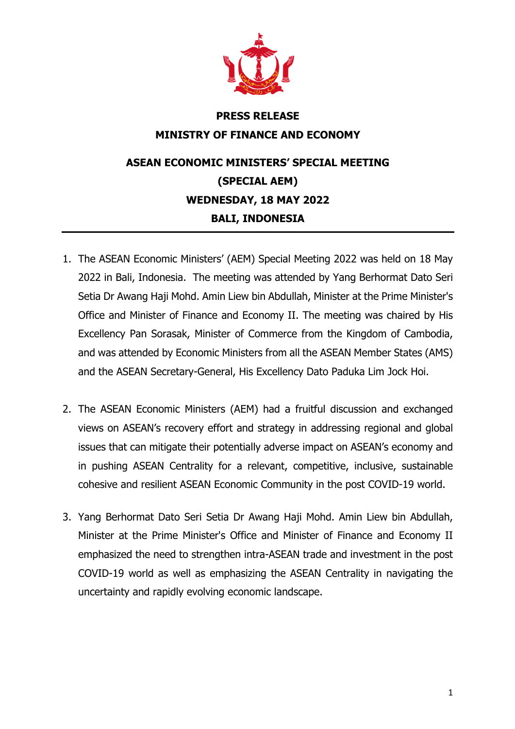

## **PRESS RELEASE MINISTRY OF FINANCE AND ECONOMY**

## **ASEAN ECONOMIC MINISTERS' SPECIAL MEETING (SPECIAL AEM) WEDNESDAY, 18 MAY 2022 BALI, INDONESIA**

- 1. The ASEAN Economic Ministers' (AEM) Special Meeting 2022 was held on 18 May 2022 in Bali, Indonesia. The meeting was attended by Yang Berhormat Dato Seri Setia Dr Awang Haji Mohd. Amin Liew bin Abdullah, Minister at the Prime Minister's Office and Minister of Finance and Economy II. The meeting was chaired by His Excellency Pan Sorasak, Minister of Commerce from the Kingdom of Cambodia, and was attended by Economic Ministers from all the ASEAN Member States (AMS) and the ASEAN Secretary-General, His Excellency Dato Paduka Lim Jock Hoi.
- 2. The ASEAN Economic Ministers (AEM) had a fruitful discussion and exchanged views on ASEAN's recovery effort and strategy in addressing regional and global issues that can mitigate their potentially adverse impact on ASEAN's economy and in pushing ASEAN Centrality for a relevant, competitive, inclusive, sustainable cohesive and resilient ASEAN Economic Community in the post COVID-19 world.
- 3. Yang Berhormat Dato Seri Setia Dr Awang Haji Mohd. Amin Liew bin Abdullah, Minister at the Prime Minister's Office and Minister of Finance and Economy II emphasized the need to strengthen intra-ASEAN trade and investment in the post COVID-19 world as well as emphasizing the ASEAN Centrality in navigating the uncertainty and rapidly evolving economic landscape.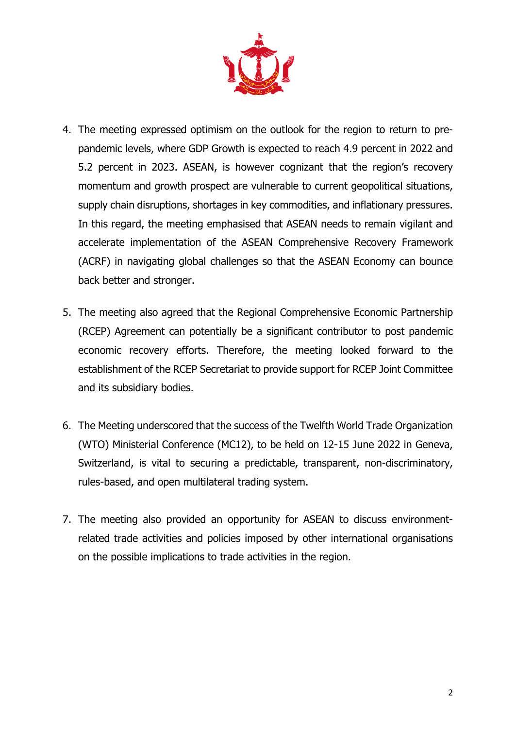

- 4. The meeting expressed optimism on the outlook for the region to return to prepandemic levels, where GDP Growth is expected to reach 4.9 percent in 2022 and 5.2 percent in 2023. ASEAN, is however cognizant that the region's recovery momentum and growth prospect are vulnerable to current geopolitical situations, supply chain disruptions, shortages in key commodities, and inflationary pressures. In this regard, the meeting emphasised that ASEAN needs to remain vigilant and accelerate implementation of the ASEAN Comprehensive Recovery Framework (ACRF) in navigating global challenges so that the ASEAN Economy can bounce back better and stronger.
- 5. The meeting also agreed that the Regional Comprehensive Economic Partnership (RCEP) Agreement can potentially be a significant contributor to post pandemic economic recovery efforts. Therefore, the meeting looked forward to the establishment of the RCEP Secretariat to provide support for RCEP Joint Committee and its subsidiary bodies.
- 6. The Meeting underscored that the success of the Twelfth World Trade Organization (WTO) Ministerial Conference (MC12), to be held on 12-15 June 2022 in Geneva, Switzerland, is vital to securing a predictable, transparent, non-discriminatory, rules-based, and open multilateral trading system.
- 7. The meeting also provided an opportunity for ASEAN to discuss environmentrelated trade activities and policies imposed by other international organisations on the possible implications to trade activities in the region.